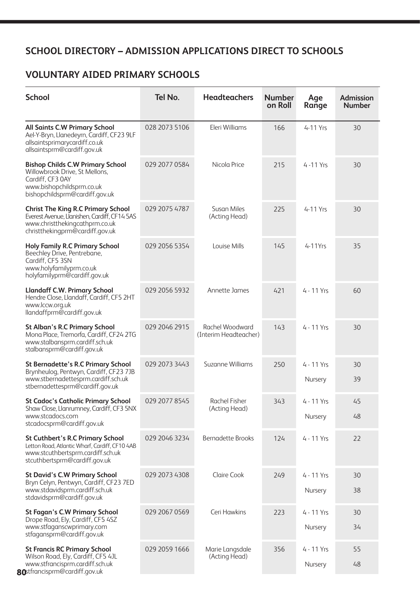### **SCHOOL DIRECTORY – ADMISSION APPLICATIONS DIRECT TO SCHOOLS**

#### **VOLUNTARY AIDED PRIMARY SCHOOLS**

| <b>School</b>                                                                                                                                                   | Tel No.       | <b>Headteachers</b>                      | <b>Number</b><br>on Roll | Age<br>Range            | <b>Admission</b><br><b>Number</b> |
|-----------------------------------------------------------------------------------------------------------------------------------------------------------------|---------------|------------------------------------------|--------------------------|-------------------------|-----------------------------------|
| <b>All Saints C.W Primary School</b><br>Ael-Y-Bryn, Llanedeyrn, Cardiff, CF23 9LF<br>allsaintsprimarycardiff.co.uk<br>allsaintsprm@cardiff.gov.uk               | 028 2073 5106 | Eleri Williams                           | 166                      | 4-11 Yrs                | 30                                |
| <b>Bishop Childs C.W Primary School</b><br>Willowbrook Drive, St Mellons,<br>Cardiff, CF3 0AY<br>www.bishopchildsprm.co.uk<br>bishopchildsprm@cardiff.gov.uk    | 029 2077 0584 | Nicola Price                             | 215                      | $4 - 11$ Yrs            | 30                                |
| <b>Christ The King R.C Primary School</b><br>Everest Avenue, Llanishen, Cardiff, CF14 5AS<br>www.christthekingcathprm.co.uk<br>christthekingprm@cardiff.gov.uk  | 029 2075 4787 | <b>Susan Miles</b><br>(Acting Head)      | 225                      | 4-11 Yrs                | 30                                |
| <b>Holy Family R.C Primary School</b><br>Beechley Drive, Pentrebane,<br>Cardiff, CF5 3SN<br>www.holyfamilyprm.co.uk<br>holyfamilyprm@cardiff.gov.uk             | 029 2056 5354 | Louise Mills                             | 145                      | 4-11Yrs                 | 35                                |
| <b>Llandaff C.W. Primary School</b><br>Hendre Close, Llandaff, Cardiff, CF5 2HT<br>www.lccw.org.uk<br>llandaffprm@cardiff.gov.uk                                | 029 2056 5932 | Annette James                            | 421                      | 4 - 11 Yrs              | 60                                |
| <b>St Alban's R.C Primary School</b><br>Mona Place, Tremorfa, Cardiff, CF24 2TG<br>www.stalbansprm.cardiff.sch.uk<br>stalbansprm@cardiff.gov.uk                 | 029 2046 2915 | Rachel Woodward<br>(Interim Headteacher) | 143                      | 4 - 11 Yrs              | 30                                |
| <b>St Bernadette's R.C Primary School</b><br>Brynheulog, Pentwyn, Cardiff, CF23 7JB<br>www.stbernadettesprm.cardiff.sch.uk<br>stbernadettesprm@cardiff.gov.uk   | 029 2073 3443 | Suzanne Williams                         | 250                      | 4 - 11 Yrs<br>Nursery   | 30<br>39                          |
| <b>St Cadoc's Catholic Primary School</b><br>Shaw Close, Llanrumney, Cardiff, CF3 5NX<br>www.stcadocs.com<br>stcadocsprm@cardiff.gov.uk                         | 029 2077 8545 | <b>Rachel Fisher</b><br>(Acting Head)    | 343                      | 4 - 11 Yrs<br>Nursery   | 45<br>48                          |
| <b>St Cuthbert's R.C Primary School</b><br>Letton Road, Atlantic Wharf, Cardiff, CF10 4AB<br>www.stcuthbertsprm.cardiff.sch.uk<br>stcuthbertsprm@cardiff.gov.uk | 029 2046 3234 | <b>Bernadette Brooks</b>                 | 124                      | 4 - 11 Yrs              | 22                                |
| <b>St David's C.W Primary School</b><br>Bryn Celyn, Pentwyn, Cardiff, CF23 7ED<br>www.stdavidsprm.cardiff.sch.uk<br>stdavidsprm@cardiff.gov.uk                  | 029 2073 4308 | <b>Claire Cook</b>                       | 249                      | 4 - 11 Yrs<br>Nursery   | 30<br>38                          |
| <b>St Fagan's C.W Primary School</b><br>Drope Road, Ely, Cardiff, CF5 4SZ<br>www.stfaganscwprimary.com<br>stfagansprm@cardiff.gov.uk                            | 029 2067 0569 | Ceri Hawkins                             | 223                      | 4 - 11 Yrs<br>Nursery   | 30<br>34                          |
| <b>St Francis RC Primary School</b><br>Wilson Road, Ely, Cardiff, CF5 4JL<br>www.stfrancisprm.cardiff.sch.uk<br>80stfrancisprm@cardiff.gov.uk                   | 029 2059 1666 | Marie Langsdale<br>(Acting Head)         | 356                      | $4 - 11$ Yrs<br>Nursery | 55<br>48                          |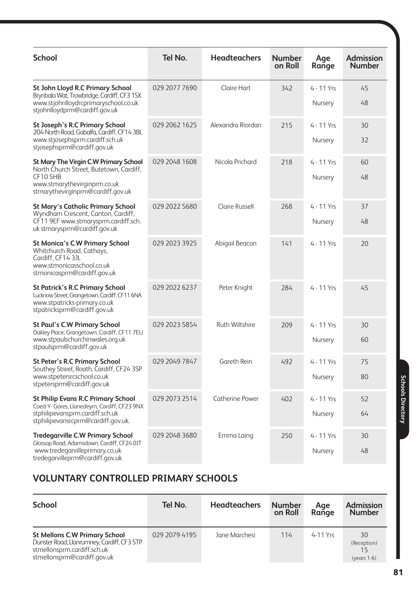| <b>School</b>                                                                                                                                                            | Tel No.       | <b>Headteachers</b>    | <b>Number</b><br>on Roll | Age<br>Range          | <b>Admission</b><br><b>Number</b> |
|--------------------------------------------------------------------------------------------------------------------------------------------------------------------------|---------------|------------------------|--------------------------|-----------------------|-----------------------------------|
| <b>St John Lloyd R.C Primary School</b><br>Brynbala Wat, Trowbridge, Cardiff, CF3 1SX<br>www.stjohnlloydrcprimaryschool.co.uk<br>stjohnlloydprm@cardiff.gov.uk           | 029 2077 7690 | Claire Hart            | 342                      | 4 - 11 Yrs<br>Nursery | 45<br>48                          |
| <b>St Joseph's R.C Primary School</b><br>204 North Road, Gabalfa, Cardiff, CF14 3BL<br>www.stjosephsprm.cardiff.sch.uk<br>stjosephsprm@cardiff.gov.uk                    | 029 2062 1625 | Alexandra Riordan      | 215                      | 4 - 11 Yrs<br>Nursery | 30<br>32                          |
| <b>St Mary The Virgin C.W Primary School</b><br>North Church Street, Butetown, Cardiff,<br>CF10 5HB<br>www.stmarythevirginprm.co.uk<br>stmarythevirginprm@cardiff.gov.uk | 029 2048 1608 | Nicola Prichard        | 218                      | 4 - 11 Yrs<br>Nursery | 60<br>48                          |
| <b>St Mary's Catholic Primary School</b><br>Wyndham Crescent, Canton, Cardiff,<br>CF11 9EF www.stmarysprm.cardiff.sch.<br>uk stmarysprm@cardiff.gov.uk                   | 029 2022 5680 | <b>Claire Russell</b>  | 268                      | 4 - 11 Yrs<br>Nursery | 37<br>48                          |
| <b>St Monica's C.W Primary School</b><br>Whitchurch Road, Cathays,<br>Cardiff, CF14 3JL<br>www.stmonicasschool.co.uk<br>stmonicasprm@cardiff.gov.uk                      | 029 2023 3925 | Abigail Beacon         | 141                      | 4 - 11 Yrs            | 20                                |
| <b>St Patrick's R.C Primary School</b><br>Lucknow Street, Grangetown, Cardiff, CF11 6NA<br>www.stpatricks-primary.co.uk<br>stpatricksprm@cardiff.gov.uk                  | 029 2022 6237 | Peter Knight           | 284                      | 4 - 11 Yrs            | 45                                |
| <b>St Paul's C.W Primary School</b><br>Oakley Place, Grangetown, Cardiff, CF11 7EU<br>www.stpaulschurchinwales.org.uk<br>stpaulsprm@cardiff.gov.uk                       | 029 2023 5854 | Ruth Wiltshire         | 209                      | 4 - 11 Yrs<br>Nursery | 30<br>60                          |
| <b>St Peter's R.C Primary School</b><br>Southey Street, Roath, Cardiff, CF24 3SP<br>www.stpetersrcschool.co.uk<br>stpetersprm@cardiff.gov.uk                             | 029 2049 7847 | Gareth Rein            | 492                      | 4 - 11 Yrs<br>Nursery | 75<br>80                          |
| <b>St Philip Evans R.C Primary School</b><br>Coed-Y- Gores, Llanedeyrn, Cardiff, CF23 9NX<br>stphilipevansprm.cardiff.sch.uk<br>stphilipevansrcprm@cardiff.gov.uk.       | 029 2073 2514 | <b>Catherine Power</b> | 402                      | 4 - 11 Yrs<br>Nursery | 52<br>64                          |
| <b>Tredegarville C.W Primary School</b><br>Glossop Road, Adamsdown, Cardiff, CF24 0JT<br>www.tredegarvilleprimary.co.uk<br>tredegarvilleprm@cardiff.gov.uk               | 029 2048 3680 | Emma Laing             | 250                      | 4 - 11 Yrs<br>Nursery | 30<br>48                          |

# **VOLUNTARY CONTROLLED PRIMARY SCHOOLS**

| <b>School</b>                                                                                                                                    | Tel No.       | <b>Headteachers</b> | <b>Number</b><br>on Roll | Age<br>Range | <b>Admission</b><br><b>Number</b>  |
|--------------------------------------------------------------------------------------------------------------------------------------------------|---------------|---------------------|--------------------------|--------------|------------------------------------|
| <b>St Mellons C.W Primary School</b><br>Dunster Road, Llanrumney, Cardiff, CF3 5TP<br>stmellonsprm.cardiff.sch.uk<br>stmellonsprm@cardiff.gov.uk | 029 2079 4195 | Jane Marchesi       | 114                      | $4-11$ Yrs   | 30<br>(Reception)<br>$(years 1-6)$ |